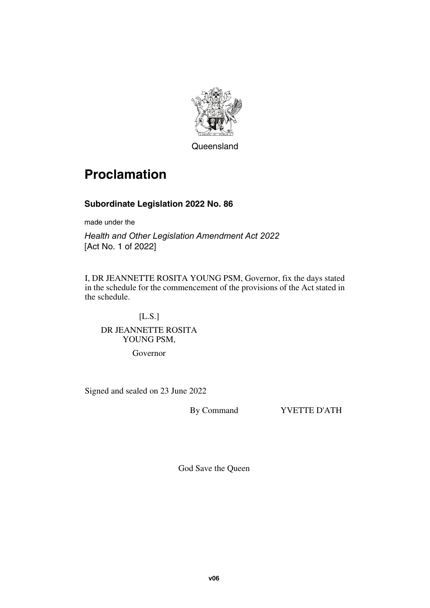

**Queensland** 

# **Proclamation**

#### **Subordinate Legislation 2022 No. 86**

made under the

*Health and Other Legislation Amendment Act 2022* [Act No. 1 of 2022]

I, DR JEANNETTE ROSITA YOUNG PSM, Governor, fix the days stated in the schedule for the commencement of the provisions of the Act stated in the schedule.

### [L.S.] DR JEANNETTE ROSITA YOUNG PSM,

Governor

Signed and sealed on 23 June 2022

By Command YVETTE D'ATH

God Save the Queen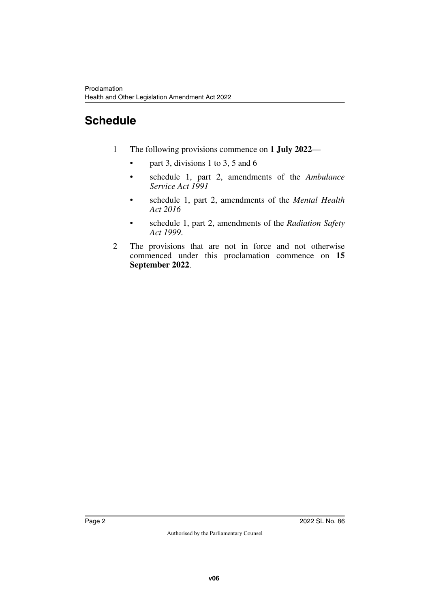## **Schedule**

- 1 The following provisions commence on **1 July 2022**
	- part 3, divisions 1 to 3, 5 and 6
	- schedule 1, part 2, amendments of the *Ambulance Service Act 1991*
	- schedule 1, part 2, amendments of the *Mental Health Act 2016*
	- schedule 1, part 2, amendments of the *Radiation Safety Act 1999*.
- 2 The provisions that are not in force and not otherwise commenced under this proclamation commence on **15 September 2022**.